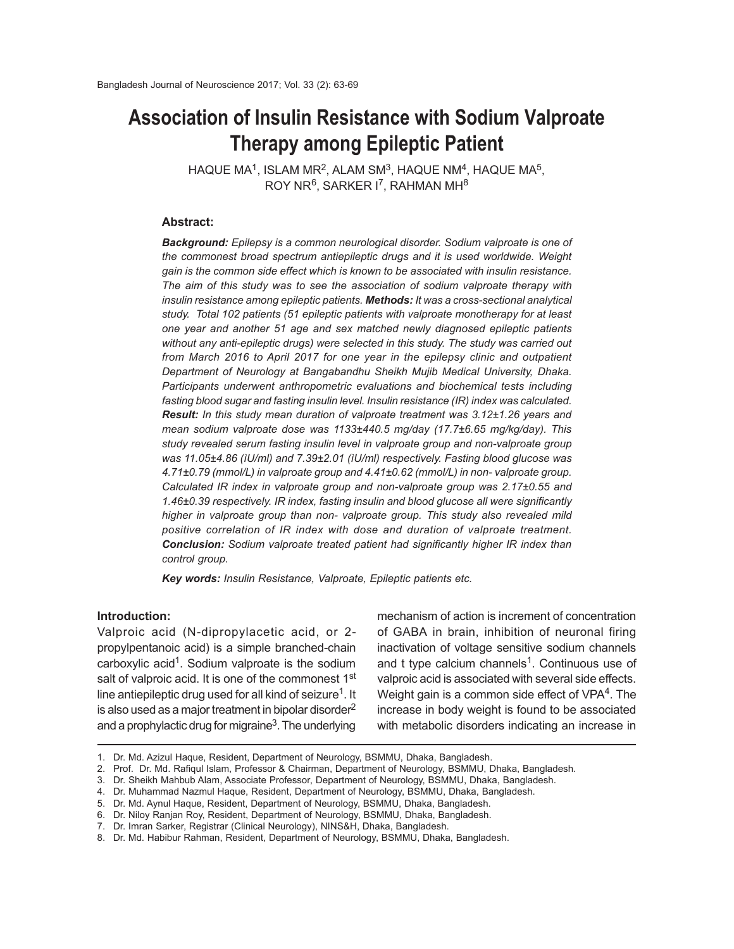# **Association of Insulin Resistance with Sodium Valproate Therapy among Epileptic Patient**

 $HAQUE MA<sup>1</sup>, ISLAM MR<sup>2</sup>, ALAM SM<sup>3</sup>, HAQUE NM<sup>4</sup>, HAQUE MA<sup>5</sup>,$ ROY NR $^6$ , SARKER I $^7$ , RAHMAN MH $^8$ 

## **Abstract:**

*Background: Epilepsy is a common neurological disorder. Sodium valproate is one of the commonest broad spectrum antiepileptic drugs and it is used worldwide. Weight gain is the common side effect which is known to be associated with insulin resistance. The aim of this study was to see the association of sodium valproate therapy with insulin resistance among epileptic patients. Methods: It was a cross-sectional analytical study. Total 102 patients (51 epileptic patients with valproate monotherapy for at least one year and another 51 age and sex matched newly diagnosed epileptic patients without any anti-epileptic drugs) were selected in this study. The study was carried out from March 2016 to April 2017 for one year in the epilepsy clinic and outpatient Department of Neurology at Bangabandhu Sheikh Mujib Medical University, Dhaka. Participants underwent anthropometric evaluations and biochemical tests including fasting blood sugar and fasting insulin level. Insulin resistance (IR) index was calculated. Result: In this study mean duration of valproate treatment was 3.12±1.26 years and mean sodium valproate dose was 1133±440.5 mg/day (17.7±6.65 mg/kg/day). This study revealed serum fasting insulin level in valproate group and non-valproate group was 11.05±4.86 (ìU/ml) and 7.39±2.01 (ìU/ml) respectively. Fasting blood glucose was 4.71±0.79 (mmol/L) in valproate group and 4.41±0.62 (mmol/L) in non- valproate group. Calculated IR index in valproate group and non-valproate group was 2.17±0.55 and 1.46±0.39 respectively. IR index, fasting insulin and blood glucose all were significantly higher in valproate group than non- valproate group. This study also revealed mild positive correlation of IR index with dose and duration of valproate treatment. Conclusion: Sodium valproate treated patient had significantly higher IR index than control group.*

*Key words: Insulin Resistance, Valproate, Epileptic patients etc.*

#### **Introduction:**

Valproic acid (N-dipropylacetic acid, or 2 propylpentanoic acid) is a simple branched-chain carboxylic acid<sup>1</sup>. Sodium valproate is the sodium salt of valproic acid. It is one of the commonest 1<sup>st</sup> line antiepileptic drug used for all kind of seizure $^{\rm 1}.$  It is also used as a major treatment in bipolar disorder<sup>2</sup> and a prophylactic drug for migraine $3$ . The underlying mechanism of action is increment of concentration of GABA in brain, inhibition of neuronal firing inactivation of voltage sensitive sodium channels and t type calcium channels<sup>1</sup>. Continuous use of valproic acid is associated with several side effects. Weight gain is a common side effect of VPA<sup>4</sup>. The increase in body weight is found to be associated with metabolic disorders indicating an increase in

<sup>1.</sup> Dr. Md. Azizul Haque, Resident, Department of Neurology, BSMMU, Dhaka, Bangladesh.

<sup>2.</sup> Prof. Dr. Md. Rafiqul Islam, Professor & Chairman, Department of Neurology, BSMMU, Dhaka, Bangladesh.

<sup>3.</sup> Dr. Sheikh Mahbub Alam, Associate Professor, Department of Neurology, BSMMU, Dhaka, Bangladesh.

<sup>4.</sup> Dr. Muhammad Nazmul Haque, Resident, Department of Neurology, BSMMU, Dhaka, Bangladesh.

<sup>5.</sup> Dr. Md. Aynul Haque, Resident, Department of Neurology, BSMMU, Dhaka, Bangladesh.

<sup>6.</sup> Dr. Niloy Ranjan Roy, Resident, Department of Neurology, BSMMU, Dhaka, Bangladesh.

<sup>7.</sup> Dr. Imran Sarker, Registrar (Clinical Neurology), NINS&H, Dhaka, Bangladesh.

<sup>8.</sup> Dr. Md. Habibur Rahman, Resident, Department of Neurology, BSMMU, Dhaka, Bangladesh.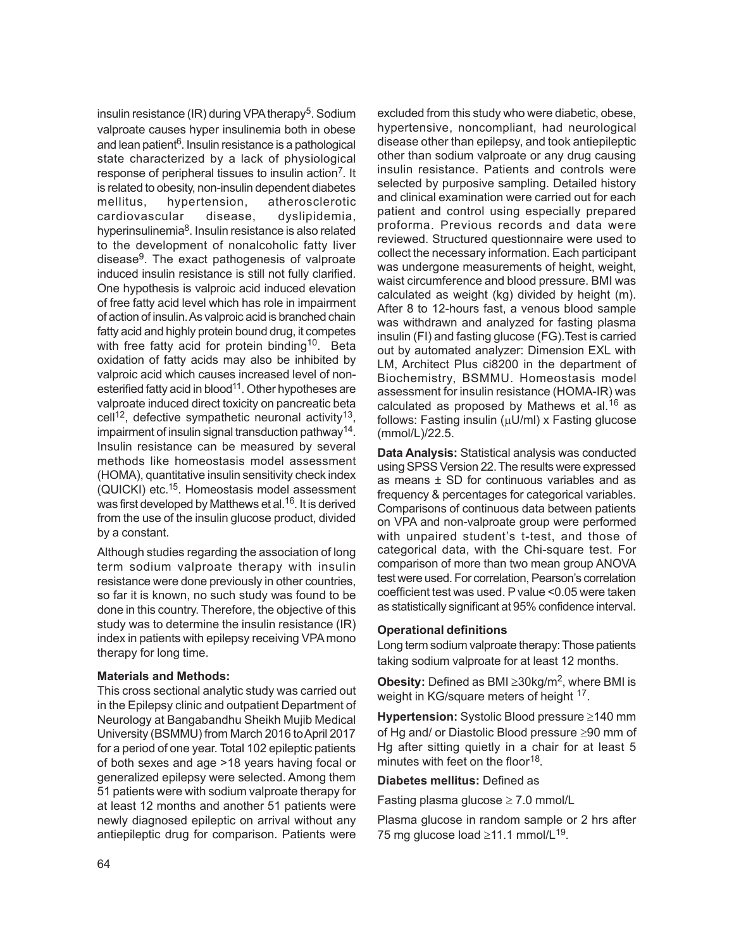insulin resistance (IR) during VPA therapy<sup>5</sup>. Sodium valproate causes hyper insulinemia both in obese and lean patient<sup>6</sup>. Insulin resistance is a pathological state characterized by a lack of physiological response of peripheral tissues to insulin action<sup>7</sup>. It is related to obesity, non-insulin dependent diabetes mellitus, hypertension, atherosclerotic cardiovascular disease, dyslipidemia, hyperinsulinemia<sup>8</sup>. Insulin resistance is also related to the development of nonalcoholic fatty liver disease<sup>9</sup>. The exact pathogenesis of valproate induced insulin resistance is still not fully clarified. One hypothesis is valproic acid induced elevation of free fatty acid level which has role in impairment of action of insulin. As valproic acid is branched chain fatty acid and highly protein bound drug, it competes with free fatty acid for protein binding<sup>10</sup>. Beta oxidation of fatty acids may also be inhibited by valproic acid which causes increased level of nonesterified fatty acid in blood<sup>11</sup>. Other hypotheses are valproate induced direct toxicity on pancreatic beta cell<sup>12</sup>, defective sympathetic neuronal activity<sup>13</sup>, impairment of insulin signal transduction pathway<sup>14</sup>. Insulin resistance can be measured by several methods like homeostasis model assessment (HOMA), quantitative insulin sensitivity check index (QUICKI) etc.15. Homeostasis model assessment was first developed by Matthews et al.<sup>16</sup>. It is derived from the use of the insulin glucose product, divided by a constant.

Although studies regarding the association of long term sodium valproate therapy with insulin resistance were done previously in other countries, so far it is known, no such study was found to be done in this country. Therefore, the objective of this study was to determine the insulin resistance (IR) index in patients with epilepsy receiving VPA mono therapy for long time.

# **Materials and Methods:**

This cross sectional analytic study was carried out in the Epilepsy clinic and outpatient Department of Neurology at Bangabandhu Sheikh Mujib Medical University (BSMMU) from March 2016 to April 2017 for a period of one year. Total 102 epileptic patients of both sexes and age >18 years having focal or generalized epilepsy were selected. Among them 51 patients were with sodium valproate therapy for at least 12 months and another 51 patients were newly diagnosed epileptic on arrival without any antiepileptic drug for comparison. Patients were

excluded from this study who were diabetic, obese, hypertensive, noncompliant, had neurological disease other than epilepsy, and took antiepileptic other than sodium valproate or any drug causing insulin resistance. Patients and controls were selected by purposive sampling. Detailed history and clinical examination were carried out for each patient and control using especially prepared proforma. Previous records and data were reviewed. Structured questionnaire were used to collect the necessary information. Each participant was undergone measurements of height, weight, waist circumference and blood pressure. BMI was calculated as weight (kg) divided by height (m). After 8 to 12-hours fast, a venous blood sample was withdrawn and analyzed for fasting plasma insulin (FI) and fasting glucose (FG).Test is carried out by automated analyzer: Dimension EXL with LM, Architect Plus ci8200 in the department of Biochemistry, BSMMU. Homeostasis model assessment for insulin resistance (HOMA-IR) was calculated as proposed by Mathews et al.<sup>16</sup> as follows: Fasting insulin  $(\mu U/ml)$  x Fasting glucose (mmol/L)/22.5.

**Data Analysis:** Statistical analysis was conducted using SPSS Version 22. The results were expressed as means ± SD for continuous variables and as frequency & percentages for categorical variables. Comparisons of continuous data between patients on VPA and non-valproate group were performed with unpaired student's t-test, and those of categorical data, with the Chi-square test. For comparison of more than two mean group ANOVA test were used. For correlation, Pearson's correlation coefficient test was used. P value <0.05 were taken as statistically significant at 95% confidence interval.

# **Operational definitions**

Long term sodium valproate therapy: Those patients taking sodium valproate for at least 12 months.

**Obesity:** Defined as BMI ≥30kg/m<sup>2</sup>, where BMI is weight in KG/square meters of height <sup>17</sup>.

**Hypertension:** Systolic Blood pressure ≥140 mm of Hg and/ or Diastolic Blood pressure ≥90 mm of Hg after sitting quietly in a chair for at least 5 minutes with feet on the floor<sup>18</sup>.

**Diabetes mellitus:** Defined as

Fasting plasma glucose  $\geq 7.0$  mmol/L

Plasma glucose in random sample or 2 hrs after 75 mg glucose load  $\geq$ 11.1 mmol/L<sup>19</sup>.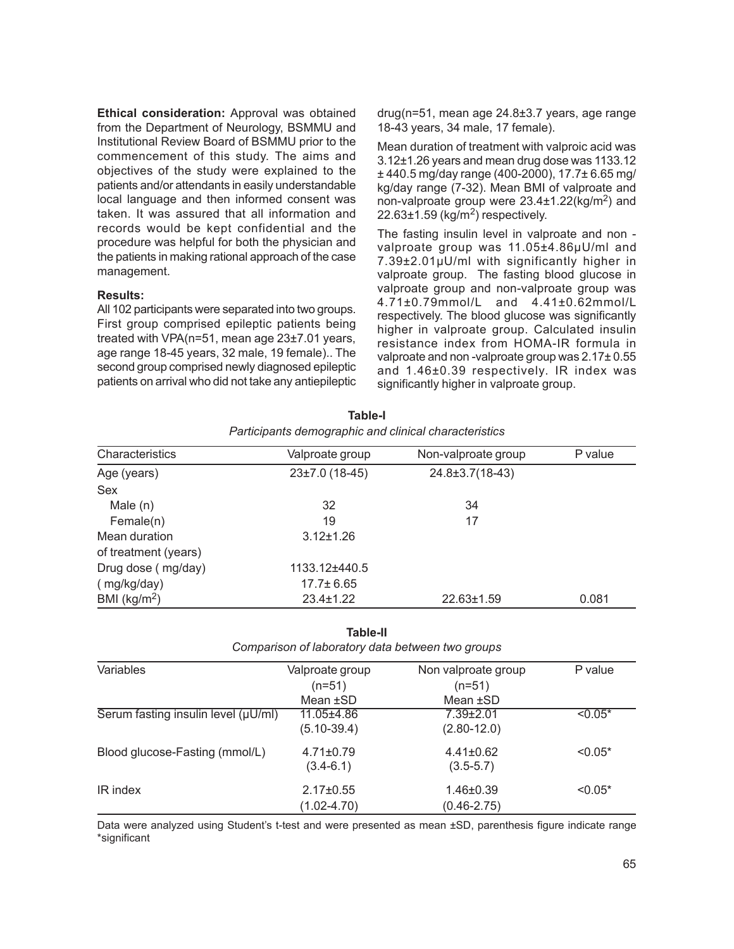**Ethical consideration:** Approval was obtained from the Department of Neurology, BSMMU and Institutional Review Board of BSMMU prior to the commencement of this study. The aims and objectives of the study were explained to the patients and/or attendants in easily understandable local language and then informed consent was taken. It was assured that all information and records would be kept confidential and the procedure was helpful for both the physician and the patients in making rational approach of the case management.

# **Results:**

All 102 participants were separated into two groups. First group comprised epileptic patients being treated with VPA(n=51, mean age 23±7.01 years, age range 18-45 years, 32 male, 19 female).. The second group comprised newly diagnosed epileptic patients on arrival who did not take any antiepileptic drug(n=51, mean age 24.8±3.7 years, age range 18-43 years, 34 male, 17 female).

Mean duration of treatment with valproic acid was 3.12±1.26 years and mean drug dose was 1133.12 ± 440.5 mg/day range (400-2000), 17.7± 6.65 mg/ kg/day range (7-32). Mean BMI of valproate and non-valproate group were 23.4±1.22(kg/m<sup>2</sup>) and  $22.63\pm1.59$  (kg/m<sup>2</sup>) respectively.

The fasting insulin level in valproate and non valproate group was 11.05±4.86µU/ml and 7.39±2.01µU/ml with significantly higher in valproate group. The fasting blood glucose in valproate group and non-valproate group was 4.71±0.79mmol/L and 4.41±0.62mmol/L respectively. The blood glucose was significantly higher in valproate group. Calculated insulin resistance index from HOMA-IR formula in valproate and non -valproate group was 2.17± 0.55 and 1.46±0.39 respectively. IR index was significantly higher in valproate group.

| Characteristics      | Valproate group    | Non-valproate group | P value |
|----------------------|--------------------|---------------------|---------|
| Age (years)          | $23\pm7.0$ (18-45) | 24.8±3.7(18-43)     |         |
| Sex                  |                    |                     |         |
| Male $(n)$           | 32                 | 34                  |         |
| Female(n)            | 19                 | 17                  |         |
| Mean duration        | $3.12 \pm 1.26$    |                     |         |
| of treatment (years) |                    |                     |         |
| Drug dose (mg/day)   | 1133.12±440.5      |                     |         |
| (mg/kg/day)          | $17.7 \pm 6.65$    |                     |         |
| BMI ( $kg/m2$ )      | $23.4 \pm 1.22$    | $22.63 \pm 1.59$    | 0.081   |

| Table-I                                               |
|-------------------------------------------------------|
| Participants demographic and clinical characteristics |

| Table-II                                         |  |  |  |  |
|--------------------------------------------------|--|--|--|--|
| Comparison of laboratory data between two groups |  |  |  |  |

| Variables                           | Valproate group | Non valproate group | P value   |
|-------------------------------------|-----------------|---------------------|-----------|
|                                     | $(n=51)$        | $(n=51)$            |           |
|                                     | Mean $\pm$ SD   | Mean $\pm$ SD       |           |
| Serum fasting insulin level (µU/ml) | 11.05±4.86      | 7.39±2.01           | $< 0.05*$ |
|                                     | (5.10-39.4)     | $(2.80 - 12.0)$     |           |
| Blood glucose-Fasting (mmol/L)      | $4.71 \pm 0.79$ | $4.41 \pm 0.62$     | $< 0.05*$ |
|                                     | $(3.4 - 6.1)$   | $(3.5 - 5.7)$       |           |
| IR index                            | $2.17 \pm 0.55$ | $1.46 \pm 0.39$     | $< 0.05*$ |
|                                     | (1.02-4.70)     | $(0.46 - 2.75)$     |           |

Data were analyzed using Student's t-test and were presented as mean ±SD, parenthesis figure indicate range \*significant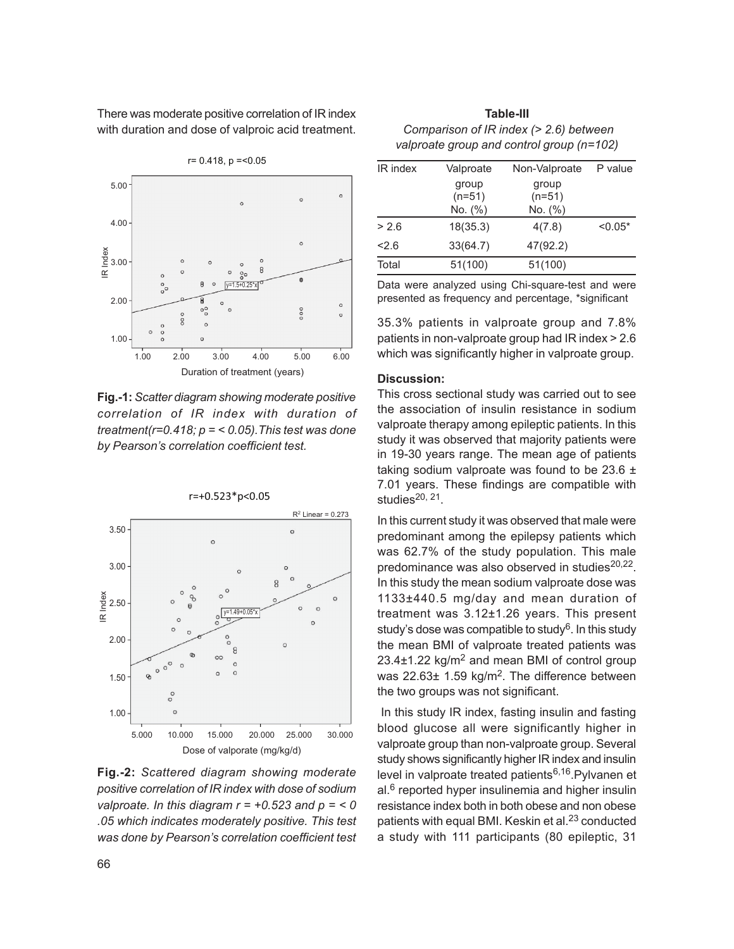There was moderate positive correlation of IR index with duration and dose of valproic acid treatment.



**Fig.-1:** *Scatter diagram showing moderate positive correlation of IR index with duration of treatment(r=0.418; p = < 0.05).This test was done by Pearson's correlation coefficient test.*



**Fig.-2:** *Scattered diagram showing moderate positive correlation of IR index with dose of sodium valproate. In this diagram r = +0.523 and p = < 0 .05 which indicates moderately positive. This test was done by Pearson's correlation coefficient test*

| Table-III                                 |
|-------------------------------------------|
| Comparison of IR index (> 2.6) between    |
| valproate group and control group (n=102) |

| IR index | Valproate | Non-Valproate | P value   |
|----------|-----------|---------------|-----------|
|          | group     | group         |           |
|          | $(n=51)$  | $(n=51)$      |           |
|          | No. (%)   | No. (%)       |           |
| > 2.6    | 18(35.3)  | 4(7.8)        | $< 0.05*$ |
| <2.6     | 33(64.7)  | 47(92.2)      |           |
| Total    | 51(100)   | 51(100)       |           |
|          |           |               |           |

Data were analyzed using Chi-square-test and were presented as frequency and percentage, \*significant

35.3% patients in valproate group and 7.8% patients in non-valproate group had IR index > 2.6 which was significantly higher in valproate group.

## **Discussion:**

This cross sectional study was carried out to see the association of insulin resistance in sodium valproate therapy among epileptic patients. In this study it was observed that majority patients were in 19-30 years range. The mean age of patients taking sodium valproate was found to be 23.6  $\pm$ 7.01 years. These findings are compatible with studies<sup>20, 21</sup>.

In this current study it was observed that male were predominant among the epilepsy patients which was 62.7% of the study population. This male predominance was also observed in studies<sup>20,22</sup>. In this study the mean sodium valproate dose was 1133±440.5 mg/day and mean duration of treatment was 3.12±1.26 years. This present study's dose was compatible to study<sup>6</sup>. In this study the mean BMI of valproate treated patients was 23.4±1.22 kg/m<sup>2</sup> and mean BMI of control group was 22.63± 1.59 kg/m<sup>2</sup>. The difference between the two groups was not significant.

 In this study IR index, fasting insulin and fasting blood glucose all were significantly higher in valproate group than non-valproate group. Several study shows significantly higher IR index and insulin level in valproate treated patients $6,16$ . Pylvanen et al.<sup>6</sup> reported hyper insulinemia and higher insulin resistance index both in both obese and non obese patients with equal BMI. Keskin et al.<sup>23</sup> conducted a study with 111 participants (80 epileptic, 31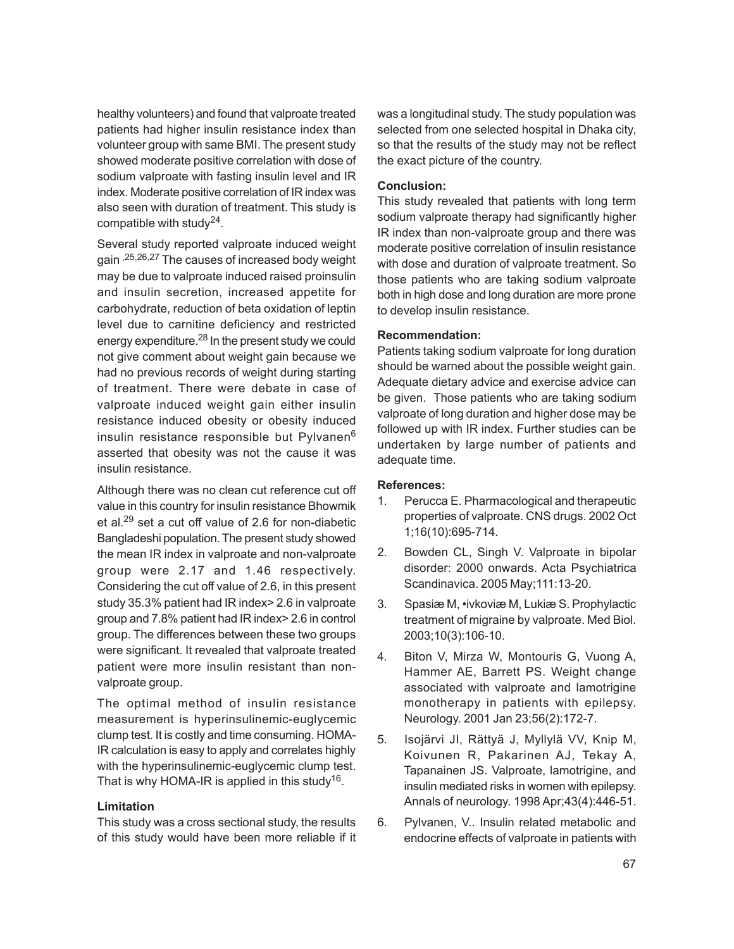healthy volunteers) and found that valproate treated patients had higher insulin resistance index than volunteer group with same BMI. The present study showed moderate positive correlation with dose of sodium valproate with fasting insulin level and IR index. Moderate positive correlation of IR index was also seen with duration of treatment. This study is compatible with study $24$ .

Several study reported valproate induced weight gain<sup>,25,26,27</sup> The causes of increased body weight may be due to valproate induced raised proinsulin and insulin secretion, increased appetite for carbohydrate, reduction of beta oxidation of leptin level due to carnitine deficiency and restricted energy expenditure.28 In the present study we could not give comment about weight gain because we had no previous records of weight during starting of treatment. There were debate in case of valproate induced weight gain either insulin resistance induced obesity or obesity induced insulin resistance responsible but Pylvanen<sup>6</sup> asserted that obesity was not the cause it was insulin resistance.

Although there was no clean cut reference cut off value in this country for insulin resistance Bhowmik et al.29 set a cut off value of 2.6 for non-diabetic Bangladeshi population. The present study showed the mean IR index in valproate and non-valproate group were 2.17 and 1.46 respectively. Considering the cut off value of 2.6, in this present study 35.3% patient had IR index> 2.6 in valproate group and 7.8% patient had IR index> 2.6 in control group. The differences between these two groups were significant. It revealed that valproate treated patient were more insulin resistant than nonvalproate group.

The optimal method of insulin resistance measurement is hyperinsulinemic-euglycemic clump test. It is costly and time consuming. HOMA-IR calculation is easy to apply and correlates highly with the hyperinsulinemic-euglycemic clump test. That is why HOMA-IR is applied in this study<sup>16</sup>.

# **Limitation**

This study was a cross sectional study, the results of this study would have been more reliable if it was a longitudinal study. The study population was selected from one selected hospital in Dhaka city, so that the results of the study may not be reflect the exact picture of the country.

## **Conclusion:**

This study revealed that patients with long term sodium valproate therapy had significantly higher IR index than non-valproate group and there was moderate positive correlation of insulin resistance with dose and duration of valproate treatment. So those patients who are taking sodium valproate both in high dose and long duration are more prone to develop insulin resistance.

## **Recommendation:**

Patients taking sodium valproate for long duration should be warned about the possible weight gain. Adequate dietary advice and exercise advice can be given. Those patients who are taking sodium valproate of long duration and higher dose may be followed up with IR index. Further studies can be undertaken by large number of patients and adequate time.

### **References:**

- 1. Perucca E. Pharmacological and therapeutic properties of valproate. CNS drugs. 2002 Oct 1;16(10):695-714.
- 2. Bowden CL, Singh V. Valproate in bipolar disorder: 2000 onwards. Acta Psychiatrica Scandinavica. 2005 May;111:13-20.
- 3. Spasiæ M, •ivkoviæ M, Lukiæ S. Prophylactic treatment of migraine by valproate. Med Biol. 2003;10(3):106-10.
- 4. Biton V, Mirza W, Montouris G, Vuong A, Hammer AE, Barrett PS. Weight change associated with valproate and lamotrigine monotherapy in patients with epilepsy. Neurology. 2001 Jan 23;56(2):172-7.
- 5. Isojärvi JI, Rättyä J, Myllylä VV, Knip M, Koivunen R, Pakarinen AJ, Tekay A, Tapanainen JS. Valproate, lamotrigine, and insulin mediated risks in women with epilepsy. Annals of neurology. 1998 Apr;43(4):446-51.
- 6. Pylvanen, V.. Insulin related metabolic and endocrine effects of valproate in patients with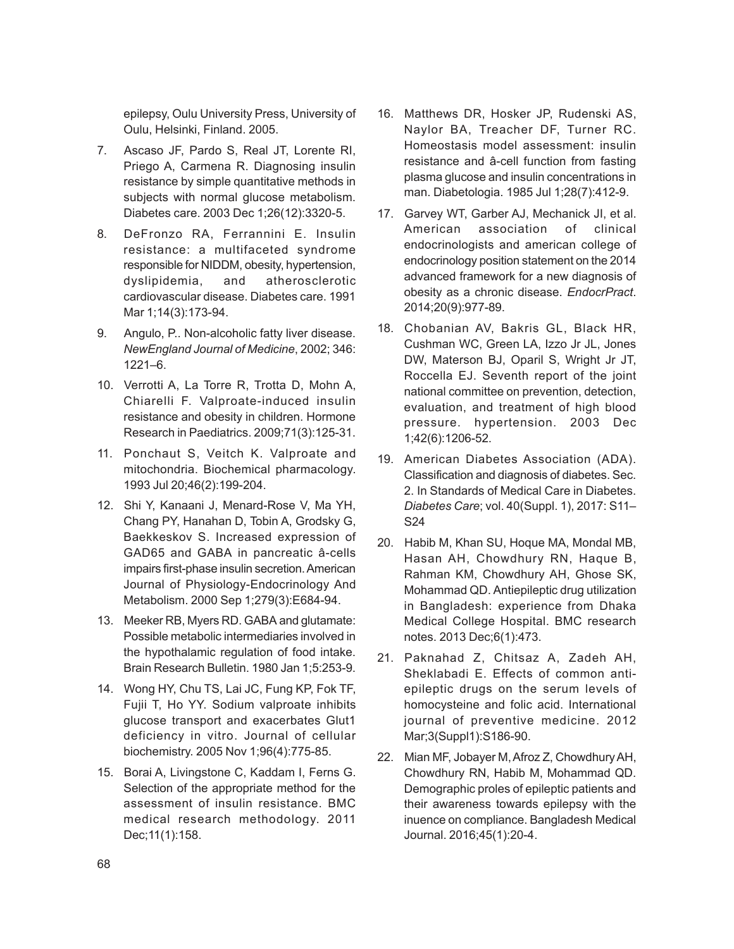epilepsy, Oulu University Press, University of Oulu, Helsinki, Finland. 2005.

- 7. Ascaso JF, Pardo S, Real JT, Lorente RI, Priego A, Carmena R. Diagnosing insulin resistance by simple quantitative methods in subjects with normal glucose metabolism. Diabetes care. 2003 Dec 1;26(12):3320-5.
- 8. DeFronzo RA, Ferrannini E. Insulin resistance: a multifaceted syndrome responsible for NIDDM, obesity, hypertension, dyslipidemia, and atherosclerotic cardiovascular disease. Diabetes care. 1991 Mar 1;14(3):173-94.
- 9. Angulo, P.. Non-alcoholic fatty liver disease. *NewEngland Journal of Medicine*, 2002; 346: 1221–6.
- 10. Verrotti A, La Torre R, Trotta D, Mohn A, Chiarelli F. Valproate-induced insulin resistance and obesity in children. Hormone Research in Paediatrics. 2009;71(3):125-31.
- 11. Ponchaut S, Veitch K. Valproate and mitochondria. Biochemical pharmacology. 1993 Jul 20;46(2):199-204.
- 12. Shi Y, Kanaani J, Menard-Rose V, Ma YH, Chang PY, Hanahan D, Tobin A, Grodsky G, Baekkeskov S. Increased expression of GAD65 and GABA in pancreatic â-cells impairs first-phase insulin secretion. American Journal of Physiology-Endocrinology And Metabolism. 2000 Sep 1;279(3):E684-94.
- 13. Meeker RB, Myers RD. GABA and glutamate: Possible metabolic intermediaries involved in the hypothalamic regulation of food intake. Brain Research Bulletin. 1980 Jan 1;5:253-9.
- 14. Wong HY, Chu TS, Lai JC, Fung KP, Fok TF, Fujii T, Ho YY. Sodium valproate inhibits glucose transport and exacerbates Glut1 deficiency in vitro. Journal of cellular biochemistry. 2005 Nov 1;96(4):775-85.
- 15. Borai A, Livingstone C, Kaddam I, Ferns G. Selection of the appropriate method for the assessment of insulin resistance. BMC medical research methodology. 2011 Dec;11(1):158.
- 16. Matthews DR, Hosker JP, Rudenski AS, Naylor BA, Treacher DF, Turner RC. Homeostasis model assessment: insulin resistance and â-cell function from fasting plasma glucose and insulin concentrations in man. Diabetologia. 1985 Jul 1;28(7):412-9.
- 17. Garvey WT, Garber AJ, Mechanick JI, et al. American association of clinical endocrinologists and american college of endocrinology position statement on the 2014 advanced framework for a new diagnosis of obesity as a chronic disease. *EndocrPract*. 2014;20(9):977-89.
- 18. Chobanian AV, Bakris GL, Black HR, Cushman WC, Green LA, Izzo Jr JL, Jones DW, Materson BJ, Oparil S, Wright Jr JT, Roccella EJ. Seventh report of the joint national committee on prevention, detection, evaluation, and treatment of high blood pressure. hypertension. 2003 Dec 1;42(6):1206-52.
- 19. American Diabetes Association (ADA). Classification and diagnosis of diabetes. Sec. 2. In Standards of Medical Care in Diabetes. *Diabetes Care*; vol. 40(Suppl. 1), 2017: S11– S24
- 20. Habib M, Khan SU, Hoque MA, Mondal MB, Hasan AH, Chowdhury RN, Haque B, Rahman KM, Chowdhury AH, Ghose SK, Mohammad QD. Antiepileptic drug utilization in Bangladesh: experience from Dhaka Medical College Hospital. BMC research notes. 2013 Dec;6(1):473.
- 21. Paknahad Z, Chitsaz A, Zadeh AH, Sheklabadi E. Effects of common antiepileptic drugs on the serum levels of homocysteine and folic acid. International journal of preventive medicine. 2012 Mar;3(Suppl1):S186-90.
- 22. Mian MF, Jobayer M, Afroz Z, Chowdhury AH, Chowdhury RN, Habib M, Mohammad QD. Demographic proles of epileptic patients and their awareness towards epilepsy with the inuence on compliance. Bangladesh Medical Journal. 2016;45(1):20-4.